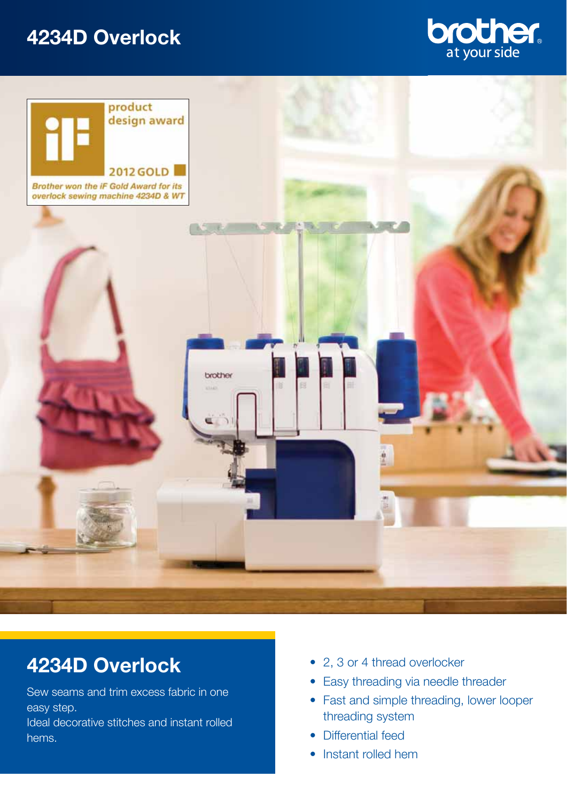## **4234D Overlock**





# **4234D Overlock**

Sew seams and trim excess fabric in one easy step.

Ideal decorative stitches and instant rolled hems.

- 2, 3 or 4 thread overlocker
- Easy threading via needle threader
- Fast and simple threading, lower looper threading system
- Differential feed
- Instant rolled hem